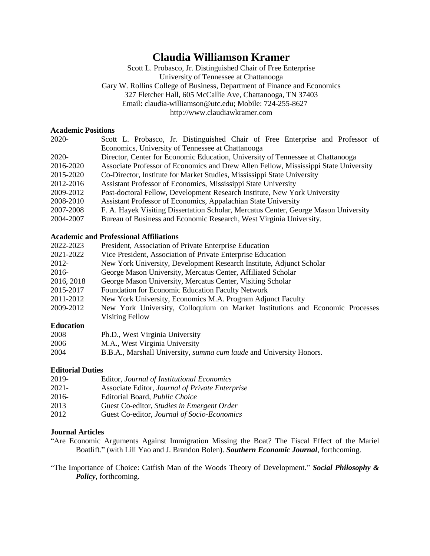# **Claudia Williamson Kramer**

Scott L. Probasco, Jr. Distinguished Chair of Free Enterprise University of Tennessee at Chattanooga Gary W. Rollins College of Business, Department of Finance and Economics 327 Fletcher Hall, 605 McCallie Ave, Chattanooga, TN 37403 Email: claudia-williamson@utc.edu; Mobile: 724-255-8627 http://www.claudiawkramer.com

### **Academic Positions**

| 2020-     | Scott L. Probasco, Jr. Distinguished Chair of Free Enterprise and Professor of       |
|-----------|--------------------------------------------------------------------------------------|
|           | Economics, University of Tennessee at Chattanooga                                    |
| $2020-$   | Director, Center for Economic Education, University of Tennessee at Chattanooga      |
| 2016-2020 | Associate Professor of Economics and Drew Allen Fellow, Mississippi State University |
| 2015-2020 | Co-Director, Institute for Market Studies, Mississippi State University              |
| 2012-2016 | Assistant Professor of Economics, Mississippi State University                       |
| 2009-2012 | Post-doctoral Fellow, Development Research Institute, New York University            |
| 2008-2010 | Assistant Professor of Economics, Appalachian State University                       |
| 2007-2008 | F. A. Hayek Visiting Dissertation Scholar, Mercatus Center, George Mason University  |
| 2004-2007 | Bureau of Business and Economic Research, West Virginia University.                  |

# **Academic and Professional Affiliations**

| 2022-2023  | President, Association of Private Enterprise Education                        |
|------------|-------------------------------------------------------------------------------|
| 2021-2022  | Vice President, Association of Private Enterprise Education                   |
| 2012-      | New York University, Development Research Institute, Adjunct Scholar          |
| 2016-      | George Mason University, Mercatus Center, Affiliated Scholar                  |
| 2016, 2018 | George Mason University, Mercatus Center, Visiting Scholar                    |
| 2015-2017  | Foundation for Economic Education Faculty Network                             |
| 2011-2012  | New York University, Economics M.A. Program Adjunct Faculty                   |
| 2009-2012  | New York University, Colloquium on Market Institutions and Economic Processes |
|            | <b>Visiting Fellow</b>                                                        |

# **Education**

| 2008 | Ph.D., West Virginia University                                            |
|------|----------------------------------------------------------------------------|
| 2006 | M.A., West Virginia University                                             |
| 2004 | B.B.A., Marshall University, <i>summa cum laude</i> and University Honors. |

#### **Editorial Duties**

| 2019- | Editor, Journal of Institutional Economics      |
|-------|-------------------------------------------------|
| 2021- | Associate Editor, Journal of Private Enterprise |
| 2016- | Editorial Board, <i>Public Choice</i>           |
| 2013  | Guest Co-editor, Studies in Emergent Order      |
| 2012  | Guest Co-editor, Journal of Socio-Economics     |

## **Journal Articles**

"Are Economic Arguments Against Immigration Missing the Boat? The Fiscal Effect of the Mariel Boatlift." (with Lili Yao and J. Brandon Bolen). *Southern Economic Journal*, forthcoming.

"The Importance of Choice: Catfish Man of the Woods Theory of Development." *Social Philosophy & Policy*, forthcoming.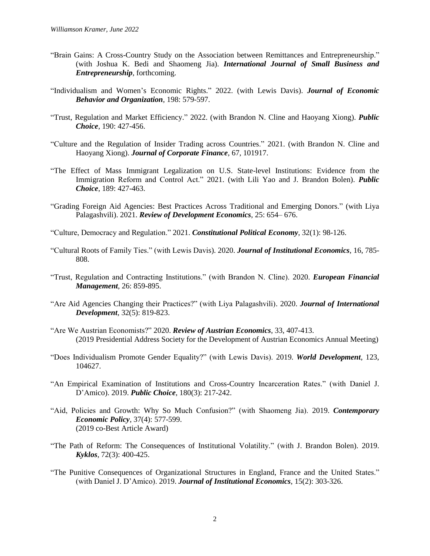- "Brain Gains: A Cross-Country Study on the Association between Remittances and Entrepreneurship." (with Joshua K. Bedi and Shaomeng Jia). *International Journal of Small Business and Entrepreneurship*, forthcoming.
- "Individualism and Women's Economic Rights." 2022. (with Lewis Davis). *Journal of Economic Behavior and Organization*, 198: 579-597.
- "Trust, Regulation and Market Efficiency." 2022. (with Brandon N. Cline and Haoyang Xiong). *Public Choice*, 190: 427-456.
- "Culture and the Regulation of Insider Trading across Countries." 2021. (with Brandon N. Cline and Haoyang Xiong). *Journal of Corporate Finance*, 67, 101917.
- "The Effect of Mass Immigrant Legalization on U.S. State-level Institutions: Evidence from the Immigration Reform and Control Act." 2021. (with Lili Yao and J. Brandon Bolen). *Public Choice*, 189: 427-463.
- "Grading Foreign Aid Agencies: Best Practices Across Traditional and Emerging Donors." (with Liya Palagashvili). 2021. *Review of Development Economics*, 25: 654– 676.
- "Culture, Democracy and Regulation." 2021. *Constitutional Political Economy*, 32(1): 98-126.
- "Cultural Roots of Family Ties." (with Lewis Davis). 2020. *Journal of Institutional Economics*, 16, 785- 808.
- "Trust, Regulation and Contracting Institutions." (with Brandon N. Cline). 2020. *European Financial Management*, 26: 859-895.
- "Are Aid Agencies Changing their Practices?" (with Liya Palagashvili). 2020. *Journal of International Development*, 32(5): 819-823.
- "Are We Austrian Economists?" 2020. *Review of Austrian Economics*, 33, 407-413. (2019 Presidential Address Society for the Development of Austrian Economics Annual Meeting)
- "Does Individualism Promote Gender Equality?" (with Lewis Davis). 2019. *World Development*, 123, 104627.
- "An Empirical Examination of Institutions and Cross-Country Incarceration Rates." (with Daniel J. D'Amico). 2019. *Public Choice*, 180(3): 217-242.
- "Aid, Policies and Growth: Why So Much Confusion?" (with Shaomeng Jia). 2019. *Contemporary Economic Policy*, 37(4): 577-599. (2019 co-Best Article Award)
- "The Path of Reform: The Consequences of Institutional Volatility." (with J. Brandon Bolen). 2019. *Kyklos*, 72(3): 400-425.
- "The Punitive Consequences of Organizational Structures in England, France and the United States." (with Daniel J. D'Amico). 2019. *Journal of Institutional Economics*, 15(2): 303-326.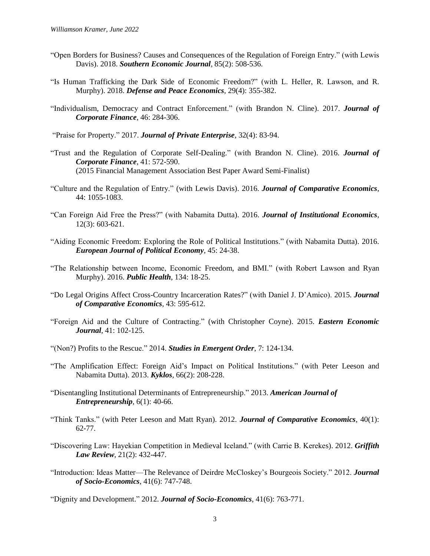- "Open Borders for Business? Causes and Consequences of the Regulation of Foreign Entry." (with Lewis Davis). 2018. *Southern Economic Journal*, 85(2): 508-536.
- "Is Human Trafficking the Dark Side of Economic Freedom?" (with L. Heller, R. Lawson, and R. Murphy). 2018. *Defense and Peace Economics*, 29(4): 355-382.
- "Individualism, Democracy and Contract Enforcement." (with Brandon N. Cline). 2017. *Journal of Corporate Finance*, 46: 284-306.

"Praise for Property." 2017. *Journal of Private Enterprise*, 32(4): 83-94.

- "Trust and the Regulation of Corporate Self-Dealing." (with Brandon N. Cline). 2016. *Journal of Corporate Finance*, 41: 572-590. (2015 Financial Management Association Best Paper Award Semi-Finalist)
- "Culture and the Regulation of Entry." (with Lewis Davis). 2016. *Journal of Comparative Economics*, 44: 1055-1083.
- "Can Foreign Aid Free the Press?" (with Nabamita Dutta). 2016. *Journal of Institutional Economics*, 12(3): 603-621.
- "Aiding Economic Freedom: Exploring the Role of Political Institutions." (with Nabamita Dutta). 2016. *European Journal of Political Economy*, 45: 24-38.
- "The Relationship between Income, Economic Freedom, and BMI." (with Robert Lawson and Ryan Murphy). 2016. *Public Health*, 134: 18-25.
- "Do Legal Origins Affect Cross-Country Incarceration Rates?" (with Daniel J. D'Amico). 2015. *Journal of Comparative Economics*, 43: 595-612.
- "Foreign Aid and the Culture of Contracting." (with Christopher Coyne). 2015. *Eastern Economic Journal*, 41: 102-125.
- "(Non?) Profits to the Rescue." 2014. *Studies in Emergent Order*, 7: 124-134.
- "The Amplification Effect: Foreign Aid's Impact on Political Institutions." (with Peter Leeson and Nabamita Dutta). 2013. *Kyklos*, 66(2): 208-228.
- "Disentangling Institutional Determinants of Entrepreneurship." 2013. *American Journal of Entrepreneurship*, 6(1): 40-66.
- "Think Tanks." (with Peter Leeson and Matt Ryan). 2012. *Journal of Comparative Economics*, 40(1): 62-77.
- "Discovering Law: Hayekian Competition in Medieval Iceland." (with Carrie B. Kerekes). 2012. *Griffith Law Review*, 21(2): 432-447.
- "Introduction: Ideas Matter—The Relevance of Deirdre McCloskey's Bourgeois Society." 2012. *Journal of Socio-Economics*, 41(6): 747-748.

"Dignity and Development." 2012. *Journal of Socio-Economics*, 41(6): 763-771.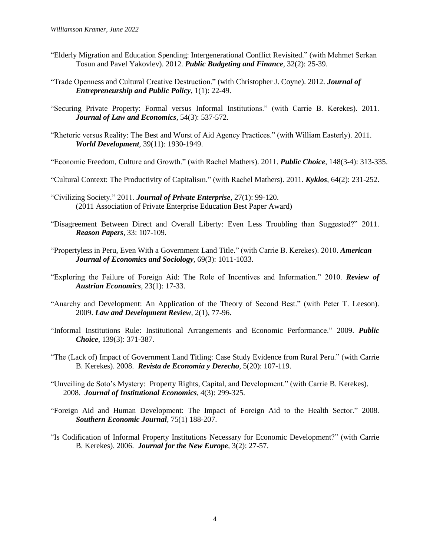- "Elderly Migration and Education Spending: Intergenerational Conflict Revisited." (with Mehmet Serkan Tosun and Pavel Yakovlev). 2012. *Public Budgeting and Finance,* 32(2): 25-39.
- "Trade Openness and Cultural Creative Destruction." (with Christopher J. Coyne). 2012. *Journal of Entrepreneurship and Public Policy*, 1(1): 22-49.
- "Securing Private Property: Formal versus Informal Institutions." (with Carrie B. Kerekes). 2011. *Journal of Law and Economics*, 54(3): 537-572.
- "Rhetoric versus Reality: The Best and Worst of Aid Agency Practices." (with William Easterly). 2011. *World Development*, 39(11): 1930-1949.

"Economic Freedom, Culture and Growth." (with Rachel Mathers). 2011. *Public Choice*, 148(3-4): 313-335.

- "Cultural Context: The Productivity of Capitalism." (with Rachel Mathers). 2011. *Kyklos*, 64(2): 231-252.
- "Civilizing Society." 2011. *Journal of Private Enterprise*, 27(1): 99-120. (2011 Association of Private Enterprise Education Best Paper Award)
- "Disagreement Between Direct and Overall Liberty: Even Less Troubling than Suggested?" 2011. *Reason Papers*, 33: 107-109.
- "Propertyless in Peru, Even With a Government Land Title." (with Carrie B. Kerekes). 2010. *American Journal of Economics and Sociology*, 69(3): 1011-1033.
- "Exploring the Failure of Foreign Aid: The Role of Incentives and Information." 2010. *Review of Austrian Economics*, 23(1): 17-33.
- "Anarchy and Development: An Application of the Theory of Second Best." (with Peter T. Leeson). 2009. *Law and Development Review,* 2(1), 77-96.
- "Informal Institutions Rule: Institutional Arrangements and Economic Performance." 2009. *Public Choice*, 139(3): 371-387.
- "The (Lack of) Impact of Government Land Titling: Case Study Evidence from Rural Peru." (with Carrie B. Kerekes). 2008. *Revista de Economía y Derecho*, 5(20): 107-119.
- "Unveiling de Soto's Mystery: Property Rights, Capital, and Development." (with Carrie B. Kerekes). 2008. *Journal of Institutional Economics*, 4(3): 299-325.
- "Foreign Aid and Human Development: The Impact of Foreign Aid to the Health Sector." 2008. *Southern Economic Journal*, 75(1) 188-207.
- "Is Codification of Informal Property Institutions Necessary for Economic Development?" (with Carrie B. Kerekes). 2006. *Journal for the New Europe,* 3(2): 27-57.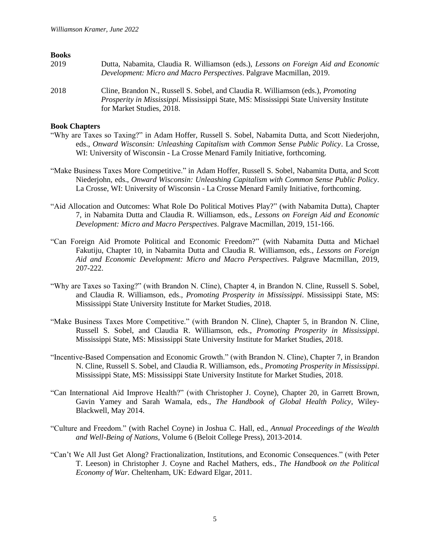#### **Books**

| 2019 | Dutta, Nabamita, Claudia R. Williamson (eds.), Lessons on Foreign Aid and Economic<br>Development: Micro and Macro Perspectives. Palgrave Macmillan, 2019.                                                              |
|------|-------------------------------------------------------------------------------------------------------------------------------------------------------------------------------------------------------------------------|
| 2018 | Cline, Brandon N., Russell S. Sobel, and Claudia R. Williamson (eds.), <i>Promoting</i><br><i>Prosperity in Mississippi.</i> Mississippi State, MS: Mississippi State University Institute<br>for Market Studies, 2018. |

#### **Book Chapters**

- "Why are Taxes so Taxing?" in Adam Hoffer, Russell S. Sobel, Nabamita Dutta, and Scott Niederjohn, eds., *Onward Wisconsin: Unleashing Capitalism with Common Sense Public Policy*. La Crosse, WI: University of Wisconsin - La Crosse Menard Family Initiative, forthcoming.
- "Make Business Taxes More Competitive." in Adam Hoffer, Russell S. Sobel, Nabamita Dutta, and Scott Niederjohn, eds., *Onward Wisconsin: Unleashing Capitalism with Common Sense Public Policy*. La Crosse, WI: University of Wisconsin - La Crosse Menard Family Initiative, forthcoming.
- "Aid Allocation and Outcomes: What Role Do Political Motives Play?" (with Nabamita Dutta), Chapter 7, in Nabamita Dutta and Claudia R. Williamson, eds., *Lessons on Foreign Aid and Economic Development: Micro and Macro Perspectives*. Palgrave Macmillan, 2019, 151-166.
- "Can Foreign Aid Promote Political and Economic Freedom?" (with Nabamita Dutta and Michael Fakutiju, Chapter 10, in Nabamita Dutta and Claudia R. Williamson, eds., *Lessons on Foreign Aid and Economic Development: Micro and Macro Perspectives*. Palgrave Macmillan, 2019, 207-222.
- "Why are Taxes so Taxing?" (with Brandon N. Cline), Chapter 4, in Brandon N. Cline, Russell S. Sobel, and Claudia R. Williamson, eds., *Promoting Prosperity in Mississippi*. Mississippi State, MS: Mississippi State University Institute for Market Studies, 2018.
- "Make Business Taxes More Competitive." (with Brandon N. Cline), Chapter 5, in Brandon N. Cline, Russell S. Sobel, and Claudia R. Williamson, eds., *Promoting Prosperity in Mississippi*. Mississippi State, MS: Mississippi State University Institute for Market Studies, 2018.
- "Incentive-Based Compensation and Economic Growth." (with Brandon N. Cline), Chapter 7, in Brandon N. Cline, Russell S. Sobel, and Claudia R. Williamson, eds., *Promoting Prosperity in Mississippi*. Mississippi State, MS: Mississippi State University Institute for Market Studies, 2018.
- "Can International Aid Improve Health?" (with Christopher J. Coyne), Chapter 20, in Garrett Brown, Gavin Yamey and Sarah Wamala, eds., *The Handbook of Global Health Policy*, Wiley-Blackwell, May 2014.
- "Culture and Freedom." (with Rachel Coyne) in Joshua C. Hall, ed., *Annual Proceedings of the Wealth and Well-Being of Nations*, Volume 6 (Beloit College Press), 2013-2014.
- "Can't We All Just Get Along? Fractionalization, Institutions, and Economic Consequences." (with Peter T. Leeson) in Christopher J. Coyne and Rachel Mathers, eds., *The Handbook on the Political Economy of War.* Cheltenham, UK: Edward Elgar, 2011.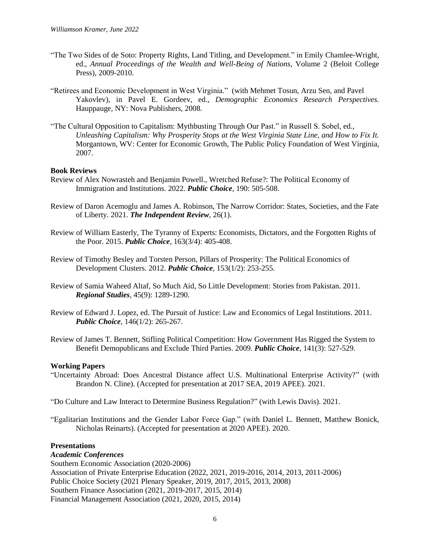- "The Two Sides of de Soto: Property Rights, Land Titling, and Development." in Emily Chamlee-Wright, ed., *Annual Proceedings of the Wealth and Well-Being of Nations*, Volume 2 (Beloit College Press), 2009-2010.
- "Retirees and Economic Development in West Virginia." (with Mehmet Tosun, Arzu Sen, and Pavel Yakovlev), in Pavel E. Gordeev, ed., *Demographic Economics Research Perspectives.*  Hauppauge, NY: Nova Publishers, 2008.
- "The Cultural Opposition to Capitalism: Mythbusting Through Our Past." in Russell S. Sobel, ed., *Unleashing Capitalism: Why Prosperity Stops at the West Virginia State Line, and How to Fix It.*  Morgantown, WV: Center for Economic Growth, The Public Policy Foundation of West Virginia, 2007.

## **Book Reviews**

- Review of Alex Nowrasteh and Benjamin Powell., Wretched Refuse?: The Political Economy of Immigration and Institutions. 2022. *Public Choice*, 190: 505-508.
- Review of Daron Acemoglu and James A. Robinson, The Narrow Corridor: States, Societies, and the Fate of Liberty. 2021. *The Independent Review*, 26(1).
- Review of William Easterly, The Tyranny of Experts: Economists, Dictators, and the Forgotten Rights of the Poor. 2015. *Public Choice*, 163(3/4): 405-408.
- Review of Timothy Besley and Torsten Person, Pillars of Prosperity: The Political Economics of Development Clusters. 2012. *Public Choice*, 153(1/2): 253-255.
- Review of Samia Waheed Altaf, So Much Aid, So Little Development: Stories from Pakistan. 2011*. Regional Studies*, 45(9): 1289-1290.
- Review of Edward J. Lopez, ed. The Pursuit of Justice: Law and Economics of Legal Institutions. 2011. *Public Choice*, 146(1/2): 265-267.
- Review of James T. Bennett, Stifling Political Competition: How Government Has Rigged the System to Benefit Demopublicans and Exclude Third Parties. 2009. *Public Choice*, 141(3): 527-529.

#### **Working Papers**

- "Uncertainty Abroad: Does Ancestral Distance affect U.S. Multinational Enterprise Activity?" (with Brandon N. Cline). (Accepted for presentation at 2017 SEA, 2019 APEE). 2021.
- "Do Culture and Law Interact to Determine Business Regulation?" (with Lewis Davis). 2021.

"Egalitarian Institutions and the Gender Labor Force Gap." (with Daniel L. Bennett, Matthew Bonick, Nicholas Reinarts). (Accepted for presentation at 2020 APEE). 2020.

#### **Presentations**

#### *Academic Conferences*

Southern Economic Association (2020-2006) Association of Private Enterprise Education (2022, 2021, 2019-2016, 2014, 2013, 2011-2006) Public Choice Society (2021 Plenary Speaker, 2019, 2017, 2015, 2013, 2008) Southern Finance Association (2021, 2019-2017, 2015, 2014) Financial Management Association (2021, 2020, 2015, 2014)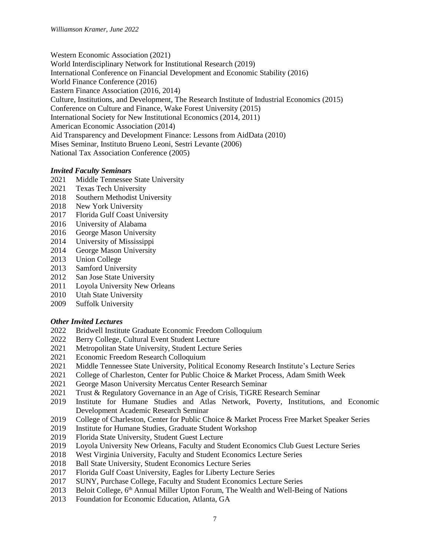Western Economic Association (2021)

World Interdisciplinary Network for Institutional Research (2019)

International Conference on Financial Development and Economic Stability (2016)

World Finance Conference (2016) Eastern Finance Association (2016, 2014)

Culture, Institutions, and Development, The Research Institute of Industrial Economics (2015)

Conference on Culture and Finance, Wake Forest University (2015)

International Society for New Institutional Economics (2014, 2011)

American Economic Association (2014)

Aid Transparency and Development Finance: Lessons from AidData (2010)

Mises Seminar, Instituto Brueno Leoni, Sestri Levante (2006)

National Tax Association Conference (2005)

# *Invited Faculty Seminars*

- 2021 Middle Tennessee State University
- 2021 Texas Tech University
- 2018 Southern Methodist University
- 2018 New York University
- 2017 Florida Gulf Coast University
- 2016 University of Alabama
- 2016 George Mason University
- 2014 University of Mississippi
- 2014 George Mason University
- 2013 Union College
- 2013 Samford University
- 2012 San Jose State University
- 2011 Loyola University New Orleans
- 2010 Utah State University
- 2009 Suffolk University

# *Other Invited Lectures*

- 2022 Bridwell Institute Graduate Economic Freedom Colloquium
- 2022 Berry College, Cultural Event Student Lecture
- 2021 Metropolitan State University, Student Lecture Series
- 2021 Economic Freedom Research Colloquium
- 2021 Middle Tennessee State University, Political Economy Research Institute's Lecture Series
- 2021 College of Charleston, Center for Public Choice & Market Process, Adam Smith Week
- 2021 George Mason University Mercatus Center Research Seminar
- 2021 Trust & Regulatory Governance in an Age of Crisis, TiGRE Research Seminar
- 2019 Institute for Humane Studies and Atlas Network, Poverty, Institutions, and Economic Development Academic Research Seminar
- 2019 College of Charleston, Center for Public Choice & Market Process Free Market Speaker Series
- 2019 Institute for Humane Studies, Graduate Student Workshop
- 2019 Florida State University, Student Guest Lecture
- 2019 Loyola University New Orleans, Faculty and Student Economics Club Guest Lecture Series
- 2018 West Virginia University, Faculty and Student Economics Lecture Series
- 2018 Ball State University, Student Economics Lecture Series
- 2017 Florida Gulf Coast University, Eagles for Liberty Lecture Series
- 2017 SUNY, Purchase College, Faculty and Student Economics Lecture Series
- 2013 Beloit College, 6<sup>th</sup> Annual Miller Upton Forum, The Wealth and Well-Being of Nations
- 2013 Foundation for Economic Education, Atlanta, GA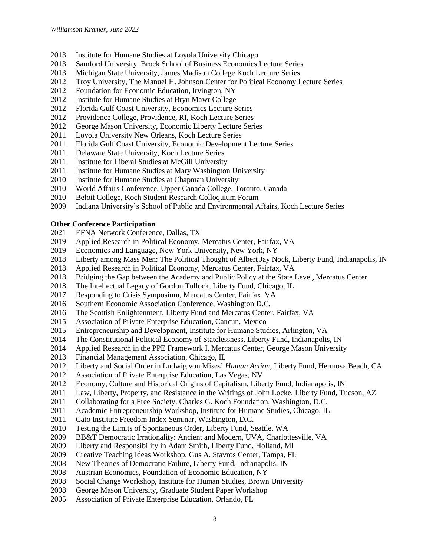- Institute for Humane Studies at Loyola University Chicago
- Samford University, Brock School of Business Economics Lecture Series
- 2013 Michigan State University, James Madison College Koch Lecture Series
- Troy University, The Manuel H. Johnson Center for Political Economy Lecture Series
- Foundation for Economic Education, Irvington, NY
- Institute for Humane Studies at Bryn Mawr College
- Florida Gulf Coast University, Economics Lecture Series
- Providence College, Providence, RI, Koch Lecture Series
- George Mason University, Economic Liberty Lecture Series
- Loyola University New Orleans, Koch Lecture Series
- Florida Gulf Coast University, Economic Development Lecture Series
- Delaware State University, Koch Lecture Series
- 2011 Institute for Liberal Studies at McGill University
- Institute for Humane Studies at Mary Washington University
- 2010 Institute for Humane Studies at Chapman University
- World Affairs Conference, Upper Canada College, Toronto, Canada
- Beloit College, Koch Student Research Colloquium Forum
- Indiana University's School of Public and Environmental Affairs, Koch Lecture Series

# **Other Conference Participation**

- EFNA Network Conference, Dallas, TX
- Applied Research in Political Economy, Mercatus Center, Fairfax, VA
- Economics and Language, New York University, New York, NY
- Liberty among Mass Men: The Political Thought of Albert Jay Nock, Liberty Fund, Indianapolis, IN
- Applied Research in Political Economy, Mercatus Center, Fairfax, VA
- Bridging the Gap between the Academy and Public Policy at the State Level, Mercatus Center
- The Intellectual Legacy of Gordon Tullock, Liberty Fund, Chicago, IL
- Responding to Crisis Symposium, Mercatus Center, Fairfax, VA
- Southern Economic Association Conference, Washington D.C.
- The Scottish Enlightenment, Liberty Fund and Mercatus Center, Fairfax, VA
- Association of Private Enterprise Education, Cancun, Mexico
- Entrepreneurship and Development, Institute for Humane Studies, Arlington, VA
- The Constitutional Political Economy of Statelessness, Liberty Fund, Indianapolis, IN
- Applied Research in the PPE Framework I, Mercatus Center, George Mason University
- Financial Management Association, Chicago, IL
- Liberty and Social Order in Ludwig von Mises' *Human Action*, Liberty Fund, Hermosa Beach, CA
- Association of Private Enterprise Education, Las Vegas, NV
- Economy, Culture and Historical Origins of Capitalism, Liberty Fund, Indianapolis, IN
- Law, Liberty, Property, and Resistance in the Writings of John Locke, Liberty Fund, Tucson, AZ
- Collaborating for a Free Society, Charles G. Koch Foundation, Washington, D.C.
- Academic Entrepreneurship Workshop, Institute for Humane Studies, Chicago, IL
- Cato Institute Freedom Index Seminar, Washington, D.C.
- Testing the Limits of Spontaneous Order, Liberty Fund, Seattle, WA
- BB&T Democratic Irrationality: Ancient and Modern, UVA, Charlottesville, VA
- Liberty and Responsibility in Adam Smith, Liberty Fund, Holland, MI
- Creative Teaching Ideas Workshop, Gus A. Stavros Center, Tampa, FL
- New Theories of Democratic Failure, Liberty Fund, Indianapolis, IN
- Austrian Economics, Foundation of Economic Education, NY
- Social Change Workshop, Institute for Human Studies, Brown University
- George Mason University, Graduate Student Paper Workshop
- Association of Private Enterprise Education, Orlando, FL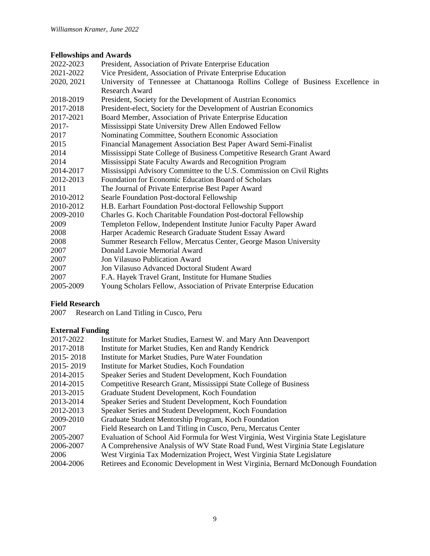# **Fellowships and Awards**

| 2022-2023  | President, Association of Private Enterprise Education                           |
|------------|----------------------------------------------------------------------------------|
| 2021-2022  | Vice President, Association of Private Enterprise Education                      |
| 2020, 2021 | University of Tennessee at Chattanooga Rollins College of Business Excellence in |
|            | <b>Research Award</b>                                                            |
| 2018-2019  | President, Society for the Development of Austrian Economics                     |
| 2017-2018  | President-elect, Society for the Development of Austrian Economics               |
| 2017-2021  | Board Member, Association of Private Enterprise Education                        |
| 2017-      | Mississippi State University Drew Allen Endowed Fellow                           |
| 2017       | Nominating Committee, Southern Economic Association                              |
| 2015       | Financial Management Association Best Paper Award Semi-Finalist                  |
| 2014       | Mississippi State College of Business Competitive Research Grant Award           |
| 2014       | Mississippi State Faculty Awards and Recognition Program                         |
| 2014-2017  | Mississippi Advisory Committee to the U.S. Commission on Civil Rights            |
| 2012-2013  | Foundation for Economic Education Board of Scholars                              |
| 2011       | The Journal of Private Enterprise Best Paper Award                               |
| 2010-2012  | Searle Foundation Post-doctoral Fellowship                                       |
| 2010-2012  | H.B. Earhart Foundation Post-doctoral Fellowship Support                         |
| 2009-2010  | Charles G. Koch Charitable Foundation Post-doctoral Fellowship                   |
| 2009       | Templeton Fellow, Independent Institute Junior Faculty Paper Award               |
| 2008       | Harper Academic Research Graduate Student Essay Award                            |
| 2008       | Summer Research Fellow, Mercatus Center, George Mason University                 |
| 2007       | Donald Lavoie Memorial Award                                                     |
| 2007       | <b>Jon Vilasuso Publication Award</b>                                            |
| 2007       | Jon Vilasuso Advanced Doctoral Student Award                                     |
| 2007       | F.A. Hayek Travel Grant, Institute for Humane Studies                            |
| 2005-2009  | Young Scholars Fellow, Association of Private Enterprise Education               |

# **Field Research**

2007 Research on Land Titling in Cusco, Peru

# **External Funding**

| 2017-2022   | Institute for Market Studies, Earnest W. and Mary Ann Deavenport                    |
|-------------|-------------------------------------------------------------------------------------|
| 2017-2018   | Institute for Market Studies, Ken and Randy Kendrick                                |
| 2015 - 2018 | Institute for Market Studies, Pure Water Foundation                                 |
| 2015 - 2019 | Institute for Market Studies, Koch Foundation                                       |
| 2014-2015   | Speaker Series and Student Development, Koch Foundation                             |
| 2014-2015   | Competitive Research Grant, Mississippi State College of Business                   |
| 2013-2015   | Graduate Student Development, Koch Foundation                                       |
| 2013-2014   | Speaker Series and Student Development, Koch Foundation                             |
| 2012-2013   | Speaker Series and Student Development, Koch Foundation                             |
| 2009-2010   | Graduate Student Mentorship Program, Koch Foundation                                |
| 2007        | Field Research on Land Titling in Cusco, Peru, Mercatus Center                      |
| 2005-2007   | Evaluation of School Aid Formula for West Virginia, West Virginia State Legislature |
| 2006-2007   | A Comprehensive Analysis of WV State Road Fund, West Virginia State Legislature     |
| 2006        | West Virginia Tax Modernization Project, West Virginia State Legislature            |
| 2004-2006   | Retirees and Economic Development in West Virginia, Bernard McDonough Foundation    |